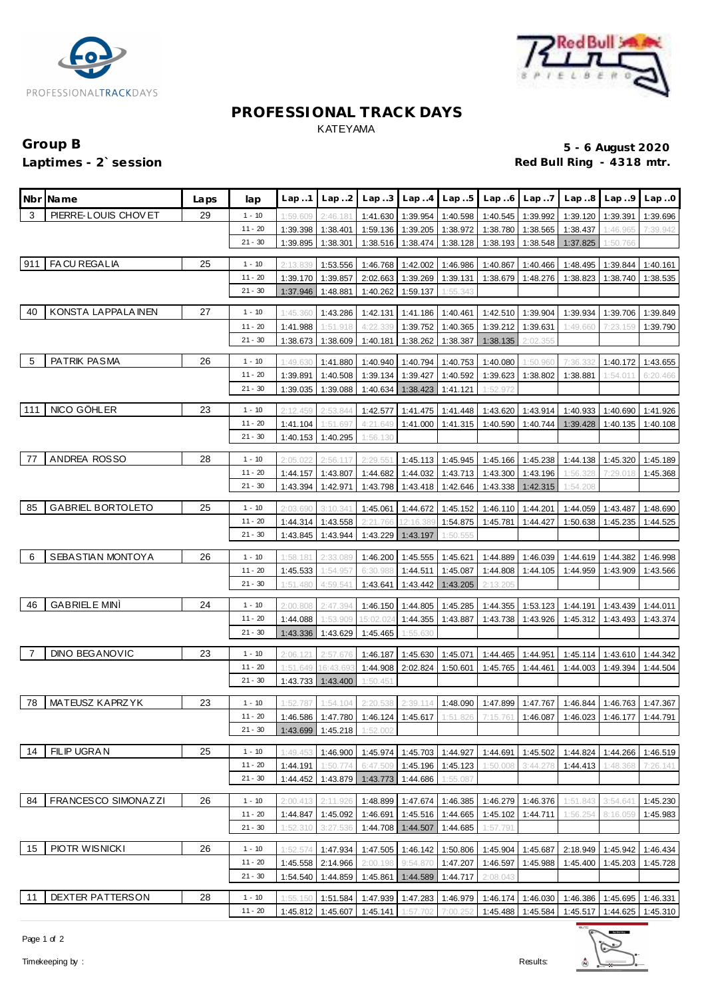



### **PROFESSIONAL TRACK DAYS** KATEYAMA

# Group B **5 - 6 August 2020**<br>
Laptimes - 2`session **1999 and 2020**<br>
Red Bull Ring - 4318 mtr. Red Bull Ring - 4318 mtr.

|     | Nbr Mame                 | Laps | lap                    | Lap1                 | Lap.2                | Lap.3                |                                        | $Lap.4$ $Lap.5$   | Lap.6                | Lap.7                | Lap.8                                                                                     | Lap.9                | Lap.0                |
|-----|--------------------------|------|------------------------|----------------------|----------------------|----------------------|----------------------------------------|-------------------|----------------------|----------------------|-------------------------------------------------------------------------------------------|----------------------|----------------------|
| 3   | PIERRE-LOUIS CHOVET      | 29   | $1 - 10$               | 1:59.609             | 2:46.181             |                      | 1:41.630 1:39.954 1:40.598             |                   | 1:40.545             | 1:39.992             | 1:39.120                                                                                  | 1:39.391             | 1:39.696             |
|     |                          |      | 11 - 20                | 1:39.398             | 1:38.401             | 1:59.136             | 1:39.205 1:38.972                      |                   | 1:38.780             | 1:38.565             | 1:38.437                                                                                  | 1:46.965             | 7:39.942             |
|     |                          |      | $21 - 30$              | 1:39.895             | 1:38.301             | 1:38.516             | 1:38.474                               | 1:38.128          | 1:38.193             | 1:38.548             | 1:37.825                                                                                  | 1:50.766             |                      |
| 911 | FA CU REGALIA            | 25   | $1 - 10$               | 2:13.839             | 1:53.556             | 1:46.768             |                                        | 1:42.002 1:46.986 | 1:40.867             | 1:40.466             | 1:48.495                                                                                  | 1:39.844             | 1:40.161             |
|     |                          |      | $11 - 20$              | 1:39.170             | 1:39.857             | 2:02.663             | 1:39.269                               | 1:39.131          | 1:38.679             | 1:48.276             | 1:38.823                                                                                  | 1:38.740             | 1:38.535             |
|     |                          |      | $21 - 30$              | 1:37.946             | 1:48.881             | 1:40.262             | 1:59.137                               | 1:55.343          |                      |                      |                                                                                           |                      |                      |
|     | KONSTA LAPPALA INEN      |      |                        |                      |                      |                      |                                        |                   |                      |                      |                                                                                           |                      |                      |
| 40  |                          | 27   | $1 - 10$               | 1:45.360             | 1:43.286             | 1:42.131             | 1:41.186 1:40.461                      |                   | 1:42.510             | 1:39.904             | 1:39.934                                                                                  | 1:39.706             | 1:39.849             |
|     |                          |      | $11 - 20$<br>$21 - 30$ | 1:41.988<br>1:38.673 | 1:51.918<br>1:38.609 | 4:22.339<br>1:40.181 | 1:39.752                               | 1:40.365          | 1:39.212             | 1:39.631             | 1:49.660                                                                                  | 7:23.159             | 1:39.790             |
|     |                          |      |                        |                      |                      |                      | 1:38.262 1:38.387                      |                   | 1:38.135             | 2:02.355             |                                                                                           |                      |                      |
| 5   | PATRIK PASMA             | 26   | $1 - 10$               | 1:49.630             | 1:41.880             | 1:40.940             | 1:40.794                               | 1:40.753          | 1:40.080             | 1:50.96              | 7:36.332                                                                                  | 1:40.172             | 1:43.655             |
|     |                          |      | $11 - 20$              | 1:39.891             | 1:40.508             | 1:39.134             | 1:39.427                               | 1:40.592          | 1:39.623             | 1:38.802             | 1:38.881                                                                                  | 1:54.011             | 6:20.466             |
|     |                          |      | $21 - 30$              | 1:39.035             | 1:39.088             | 1:40.634             | 1:38.423                               | 1:41.121          | 1:52.972             |                      |                                                                                           |                      |                      |
| 111 | NICO GÖHLER              | 23   | $1 - 10$               | 2:12.459             | 2:53.844             | 1:42.577             |                                        | 1:41.475 1:41.448 | 1:43.620             | 1:43.914             | 1:40.933                                                                                  | 1:40.690             | 1:41.926             |
|     |                          |      | $11 - 20$              | 1:41.104             | 1:51.697             | 4:21.649             | 1:41.000                               | 1:41.315          | 1:40.590             | 1:40.744             | 1:39.428                                                                                  | 1:40.135             | 1:40.108             |
|     |                          |      | $21 - 30$              | 1:40.153             | 1:40.295             | 1:56.130             |                                        |                   |                      |                      |                                                                                           |                      |                      |
| 77  | ANDREA ROSSO             | 28   | $1 - 10$               | 2:05.022             | 2:56.117             | 2:29.55'             |                                        | 1:45.113 1:45.945 | 1:45.166             | 1:45.238             | 1:44.138                                                                                  | 1:45.320             | 1:45.189             |
|     |                          |      | $11 - 20$              | 1:44.157             | 1:43.807             | 1:44.682             | 1:44.032                               | 1:43.713          | 1:43.300             | 1:43.196             | 1:56.328                                                                                  | 7:29.018             | 1:45.368             |
|     |                          |      | $21 - 30$              | 1:43.394             | 1:42.971             | 1:43.798             | 1:43.418                               | 1:42.646          | 1:43.338             | 1:42.315             | 1:54.208                                                                                  |                      |                      |
|     |                          |      |                        |                      |                      |                      |                                        |                   |                      |                      |                                                                                           |                      |                      |
| 85  | <b>GABRIEL BORTOLETO</b> | 25   | $1 - 10$               | 2:03.690             | 3:10.341             | 1:45.061             | 1:44.672                               | 1:45.152          | 1:46.110             | 1:44.201             | 1:44.059                                                                                  | 1:43.487             | 1:48.690             |
|     |                          |      | $11 - 20$              | 1:44.314             | 1:43.558             | 2:21.766             | 12:16.38                               | 1:54.875          | 1:45.781             | 1:44.427             | 1:50.638                                                                                  | 1:45.235             | 1:44.525             |
|     |                          |      | 21 - 30                | 1:43.845             | 1:43.944             | 1:43.229             | 1:43.197                               | 1:50.555          |                      |                      |                                                                                           |                      |                      |
| 6   | SEBASTIAN MONTOYA        | 26   | $1 - 10$               | 1:58.181             | 2:33.089             |                      | 1:46.200 1:45.555                      | 1:45.621          | 1:44.889             | 1:46.039             | 1:44.619                                                                                  | 1:44.382             | 1:46.998             |
|     |                          |      | 11 - 20                | 1:45.533             | 1:54.957             | 6:30.988             |                                        | 1:44.511 1:45.087 | 1:44.808             |                      | 1:44.105 1:44.959                                                                         | 1:43.909             | 1:43.566             |
|     |                          |      | $21 - 30$              | 1:51.480             | 4:59.541             | 1:43.641             | 1:43.442                               | 1:43.205          | 2:13.205             |                      |                                                                                           |                      |                      |
| 46  | <b>GABRIELE MINI</b>     | 24   | $1 - 10$               | 2:00.808             | 2:47.394             |                      | 1:46.150 1:44.805                      | 1:45.285          | 1:44.355             | 1:53.123             | 1:44.191                                                                                  | 1:43.439             | 1:44.011             |
|     |                          |      | $11 - 20$              | 1:44.088             | 1:53.909             | 15:02.02             | 1:44.355                               | 1:43.887          | 1:43.738             | 1:43.926             | 1:45.312                                                                                  | 1:43.493             | 1:43.374             |
|     |                          |      | $21 - 30$              | 1:43.336             | 1:43.629             | 1:45.465             | 1:55.630                               |                   |                      |                      |                                                                                           |                      |                      |
| 7   | <b>DINO BEGANOVIC</b>    | 23   | $1 - 10$               | 2:06.121             | 2:57.676             | 1:46.187             | 1:45.630 1:45.071                      |                   | 1:44.465             | 1:44.951             | 1:45.114                                                                                  | 1:43.610             | 1:44.342             |
|     |                          |      | $11 - 20$              | 1:51.649             | 16:43.693            |                      | 1:44.908 2:02.824 1:50.601             |                   |                      | 1:45.765 1:44.461    | 1:44.003                                                                                  | 1:49.394             | 1:44.504             |
|     |                          |      | $21 - 30$              | 1:43.733             | 1:43.400             | 1:50.451             |                                        |                   |                      |                      |                                                                                           |                      |                      |
|     |                          |      |                        |                      |                      |                      |                                        |                   |                      |                      |                                                                                           |                      |                      |
| 78  | MATEUSZ KAPRZYK          | 23   | $1 - 10$               | 1:52.787             | 1:54.104             | 2:20.538             |                                        |                   |                      |                      | 2:39.114 1:48.090 1:47.899 1:47.767 1:46.844 1:46.763 1:47.367                            |                      |                      |
|     |                          |      | $11 - 20$              |                      |                      |                      |                                        |                   |                      |                      | 1:46.586 1:47.780 1:46.124 1:45.617 1:51.826 7:15.761 1:46.087 1:46.023 1:46.177 1:44.791 |                      |                      |
|     |                          |      | $21 - 30$              | 1:43.699             | 1:45.218             | 1:52.002             |                                        |                   |                      |                      |                                                                                           |                      |                      |
| 14  | FILIP UGRAN              | 25   | $1 - 10$               | 1:49.453             | 1:46.900             |                      | 1:45.974  1:45.703  1:44.927           |                   | 1:44.691             | 1:45.502             | 1:44.824                                                                                  | 1:44.266             | 1:46.519             |
|     |                          |      | $11 - 20$              | 1:44.191             | 1:50.774             | 6:47.509             | 1:45.196 1:45.123                      |                   | 1:50.008             | 3:44.278             | 1:44.413                                                                                  | 1:48.368             | 7:26.141             |
|     |                          |      | $21 - 30$              | 1:44.452             | 1:43.879             | 1:43.773             | 1:44.686                               | 1:55.087          |                      |                      |                                                                                           |                      |                      |
| 84  | FRANCESCO SIMONAZZI      | 26   | $1 - 10$               | 2:00.413             | 2:11.926             | 1:48.899             | 1:47.674                               | 1:46.385          | 1:46.279             | 1:46.376             | 1:51.843                                                                                  | 3:54.641             | 1:45.230             |
|     |                          |      | $11 - 20$              | 1:44.847             | 1:45.092             | 1:46.691             |                                        | 1:45.516 1:44.665 | 1:45.102             | 1:44.711             | 1:56.254                                                                                  | 8:16.059             | 1:45.983             |
|     |                          |      | $21 - 30$              | 1:52.310             | 3:27.536             | 1:44.708             | 1:44.507                               | 1:44.685          | 1:57.791             |                      |                                                                                           |                      |                      |
| 15  | <b>PIOTR WISNICKI</b>    | 26   |                        |                      |                      |                      |                                        |                   |                      |                      |                                                                                           |                      |                      |
|     |                          |      | $1 - 10$<br>11 - 20    | 1:52.574<br>1:45.558 | 1:47.934<br>2:14.966 | 2:00.198             | 1:47.505 1:46.142 1:50.806<br>9:54.870 | 1:47.207          | 1:45.904<br>1:46.597 | 1:45.687<br>1:45.988 | 2:18.949<br>1:45.400                                                                      | 1:45.942<br>1:45.203 | 1:46.434<br>1:45.728 |
|     |                          |      | $21 - 30$              | 1:54.540             | 1:44.859             | 1:45.861             | 1:44.589                               | 1:44.717          | 2:08.043             |                      |                                                                                           |                      |                      |
|     |                          |      |                        |                      |                      |                      |                                        |                   |                      |                      |                                                                                           |                      |                      |
| 11  | DEXTER PATTERSON         | 28   | $1 - 10$               | 1:55.150             | 1:51.584             |                      | 1:47.939 1:47.283 1:46.979             |                   | 1:46.174             | 1:46.030             |                                                                                           | 1:46.386 1:45.695    | 1:46.331             |
|     |                          |      | $11 - 20$              |                      | 1:45.812 1:45.607    | 1:45.141             | 1:57.702                               | 7:00.252          | 1:45.488             | 1:45.584             |                                                                                           | 1:45.517 1:44.625    | 1:45.310             |